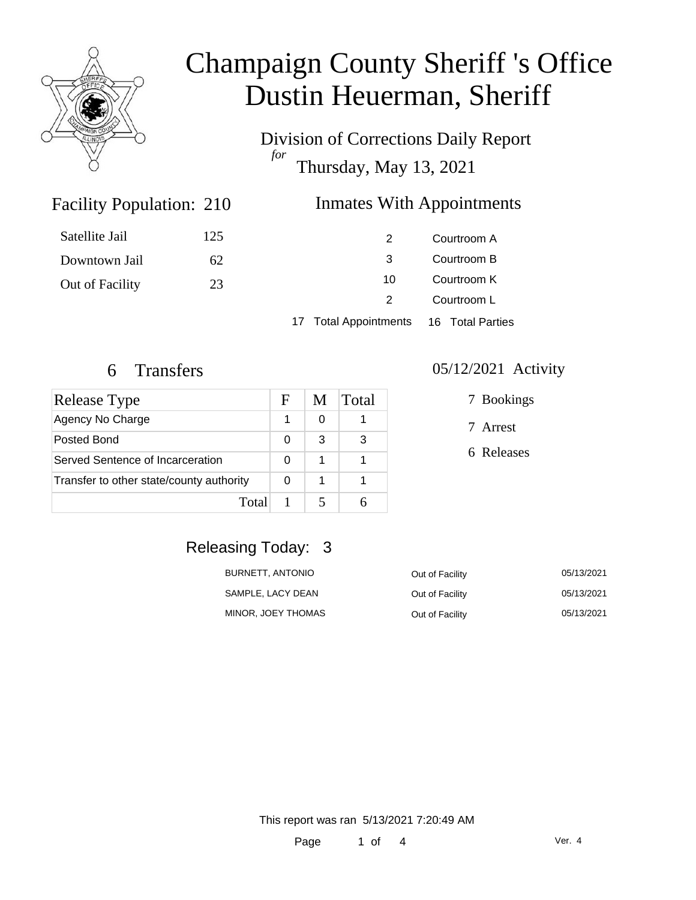

# Champaign County Sheriff 's Office Dustin Heuerman, Sheriff

Division of Corrections Daily Report *for* Thursday, May 13, 2021

### **Inmates With Appointments**

| Satellite Jail  | 125 |    | Courtroom A |
|-----------------|-----|----|-------------|
| Downtown Jail   | 62  |    | Courtroom B |
| Out of Facility | 23  | 10 | Courtroom K |
|                 |     |    | Courtroom L |
|                 |     |    |             |

17 Total Appointments 16 Total Parties

Facility Population: 210

| Release Type                             |   | M | Total |
|------------------------------------------|---|---|-------|
| Agency No Charge                         |   | O |       |
| Posted Bond                              | O | З | 3     |
| Served Sentence of Incarceration         |   | 1 |       |
| Transfer to other state/county authority |   | 1 |       |
| Total                                    |   |   |       |

#### 6 Transfers 05/12/2021 Activity

7 Bookings

7 Arrest

6 Releases

## Releasing Today: 3

| BURNETT. ANTONIO   | Out of Facility | 05/13/2021 |
|--------------------|-----------------|------------|
| SAMPLE, LACY DEAN  | Out of Facility | 05/13/2021 |
| MINOR, JOEY THOMAS | Out of Facility | 05/13/2021 |

This report was ran 5/13/2021 7:20:49 AM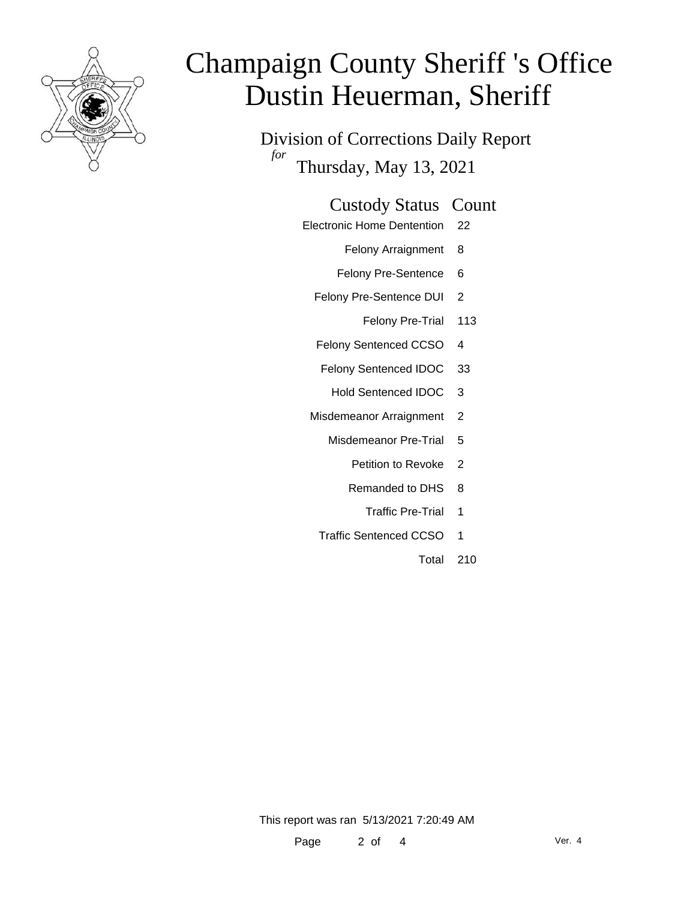

# Champaign County Sheriff 's Office Dustin Heuerman, Sheriff

Division of Corrections Daily Report *for* Thursday, May 13, 2021

### Custody Status Count

- Electronic Home Dentention 22
	- Felony Arraignment 8
	- Felony Pre-Sentence 6
	- Felony Pre-Sentence DUI 2
		- Felony Pre-Trial 113
	- Felony Sentenced CCSO 4
	- Felony Sentenced IDOC 33
		- Hold Sentenced IDOC 3
	- Misdemeanor Arraignment 2
		- Misdemeanor Pre-Trial 5
			- Petition to Revoke 2
			- Remanded to DHS 8
				- Traffic Pre-Trial 1
		- Traffic Sentenced CCSO 1
			- Total 210

This report was ran 5/13/2021 7:20:49 AM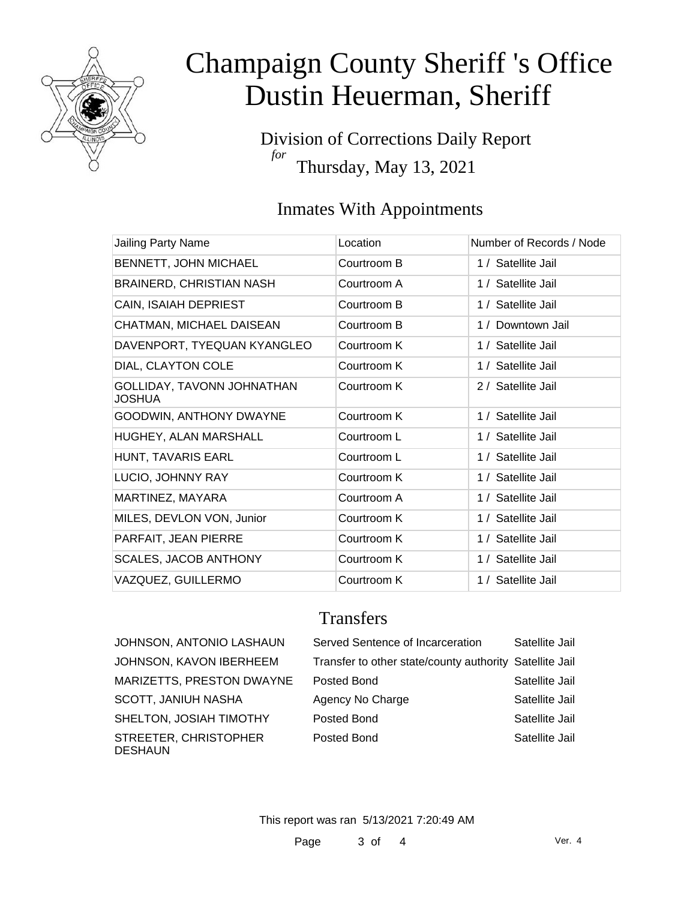

# Champaign County Sheriff 's Office Dustin Heuerman, Sheriff

Division of Corrections Daily Report *for* Thursday, May 13, 2021

## Inmates With Appointments

| Jailing Party Name                          | Location    | Number of Records / Node |
|---------------------------------------------|-------------|--------------------------|
| BENNETT, JOHN MICHAEL                       | Courtroom B | 1 / Satellite Jail       |
| <b>BRAINERD, CHRISTIAN NASH</b>             | Courtroom A | 1 / Satellite Jail       |
| CAIN, ISAIAH DEPRIEST                       | Courtroom B | 1 / Satellite Jail       |
| CHATMAN, MICHAEL DAISEAN                    | Courtroom B | 1 / Downtown Jail        |
| DAVENPORT, TYEQUAN KYANGLEO                 | Courtroom K | 1 / Satellite Jail       |
| DIAL, CLAYTON COLE                          | Courtroom K | 1 / Satellite Jail       |
| GOLLIDAY, TAVONN JOHNATHAN<br><b>JOSHUA</b> | Courtroom K | 2 / Satellite Jail       |
| GOODWIN, ANTHONY DWAYNE                     | Courtroom K | 1 / Satellite Jail       |
| HUGHEY, ALAN MARSHALL                       | Courtroom L | 1 / Satellite Jail       |
| HUNT, TAVARIS EARL                          | Courtroom L | 1 / Satellite Jail       |
| LUCIO, JOHNNY RAY                           | Courtroom K | 1 / Satellite Jail       |
| MARTINEZ, MAYARA                            | Courtroom A | 1 / Satellite Jail       |
| MILES, DEVLON VON, Junior                   | Courtroom K | 1 / Satellite Jail       |
| PARFAIT, JEAN PIERRE                        | Courtroom K | 1 / Satellite Jail       |
| <b>SCALES, JACOB ANTHONY</b>                | Courtroom K | 1 / Satellite Jail       |
| VAZQUEZ, GUILLERMO                          | Courtroom K | 1 / Satellite Jail       |

## **Transfers**

| JOHNSON, ANTONIO LASHAUN                |
|-----------------------------------------|
| <b>JOHNSON, KAVON IBERHEEM</b>          |
| MARIZETTS, PRESTON DWAYNE               |
| <b>SCOTT, JANIUH NASHA</b>              |
| SHELTON, JOSIAH TIMOTHY                 |
| STREETER, CHRISTOPHER<br><b>DESHAUN</b> |

| JOHNSON, ANTONIO LASHAUN  | Served Sentence of Incarceration                        | Satellite Jail |
|---------------------------|---------------------------------------------------------|----------------|
| JOHNSON, KAVON IBERHEEM   | Transfer to other state/county authority Satellite Jail |                |
| MARIZETTS, PRESTON DWAYNE | Posted Bond                                             | Satellite Jail |
| SCOTT, JANIUH NASHA       | Agency No Charge                                        | Satellite Jail |
| SHELTON, JOSIAH TIMOTHY   | Posted Bond                                             | Satellite Jail |
| STREETER, CHRISTOPHER     | Posted Bond                                             | Satellite Jail |